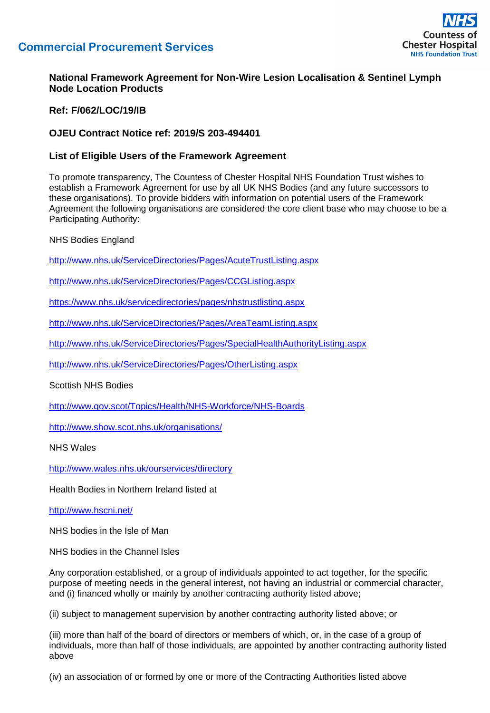



## **National Framework Agreement for Non-Wire Lesion Localisation & Sentinel Lymph Node Location Products**

**Ref: F/062/LOC/19/IB**

## **OJEU Contract Notice ref: 2019/S 203-494401**

## **List of Eligible Users of the Framework Agreement**

To promote transparency, The Countess of Chester Hospital NHS Foundation Trust wishes to establish a Framework Agreement for use by all UK NHS Bodies (and any future successors to these organisations). To provide bidders with information on potential users of the Framework Agreement the following organisations are considered the core client base who may choose to be a Participating Authority:

NHS Bodies England

<http://www.nhs.uk/ServiceDirectories/Pages/AcuteTrustListing.aspx>

<http://www.nhs.uk/ServiceDirectories/Pages/CCGListing.aspx>

<https://www.nhs.uk/servicedirectories/pages/nhstrustlisting.aspx>

<http://www.nhs.uk/ServiceDirectories/Pages/AreaTeamListing.aspx>

<http://www.nhs.uk/ServiceDirectories/Pages/SpecialHealthAuthorityListing.aspx>

<http://www.nhs.uk/ServiceDirectories/Pages/OtherListing.aspx>

Scottish NHS Bodies

<http://www.gov.scot/Topics/Health/NHS-Workforce/NHS-Boards>

<http://www.show.scot.nhs.uk/organisations/>

NHS Wales

<http://www.wales.nhs.uk/ourservices/directory>

Health Bodies in Northern Ireland listed at

<http://www.hscni.net/>

NHS bodies in the Isle of Man

NHS bodies in the Channel Isles

Any corporation established, or a group of individuals appointed to act together, for the specific purpose of meeting needs in the general interest, not having an industrial or commercial character, and (i) financed wholly or mainly by another contracting authority listed above;

(ii) subject to management supervision by another contracting authority listed above; or

(iii) more than half of the board of directors or members of which, or, in the case of a group of individuals, more than half of those individuals, are appointed by another contracting authority listed above

(iv) an association of or formed by one or more of the Contracting Authorities listed above